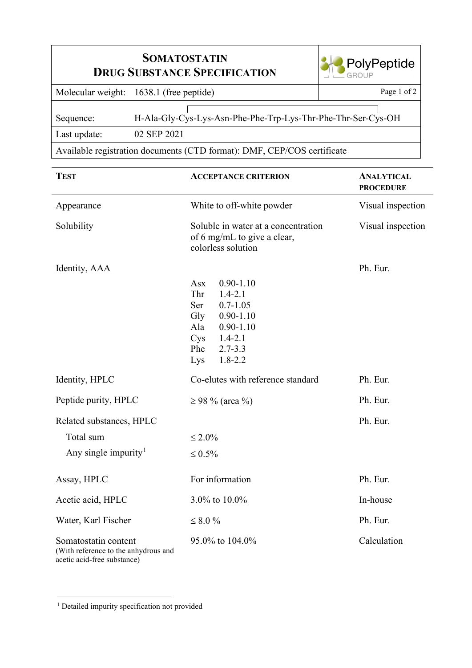## **SOMATOSTATIN DRUG SUBSTANCE SPECIFICATION**



Molecular weight: 1638.1 (free peptide) Page 1 of 2

 $\Gamma$ Sequence: H-Ala-Gly-Cys-Lys-Asn-Phe-Phe-Trp-Lys-Thr-Phe-Thr-Ser-Cys-OH Last update: 02 SEP 2021

Available registration documents (CTD format): DMF, CEP/COS certificate

| <b>TEST</b>                                                                                 | <b>ACCEPTANCE CRITERION</b>                                                                                                                                                                | <b>ANALYTICAL</b><br><b>PROCEDURE</b> |
|---------------------------------------------------------------------------------------------|--------------------------------------------------------------------------------------------------------------------------------------------------------------------------------------------|---------------------------------------|
| Appearance                                                                                  | White to off-white powder                                                                                                                                                                  | Visual inspection                     |
| Solubility                                                                                  | Soluble in water at a concentration<br>of 6 mg/mL to give a clear,<br>colorless solution                                                                                                   | Visual inspection                     |
| Identity, AAA                                                                               | $0.90 - 1.10$<br><b>Asx</b><br>Thr<br>$1.4 - 2.1$<br>$0.7 - 1.05$<br>Ser<br>$0.90 - 1.10$<br>Gly<br>$0.90 - 1.10$<br>Ala<br>$1.4 - 2.1$<br>Cys<br>Phe<br>$2.7 - 3.3$<br>$1.8 - 2.2$<br>Lys | Ph. Eur.                              |
| Identity, HPLC                                                                              | Co-elutes with reference standard                                                                                                                                                          | Ph. Eur.                              |
| Peptide purity, HPLC                                                                        | $\geq$ 98 % (area %)                                                                                                                                                                       | Ph. Eur.                              |
| Related substances, HPLC<br>Total sum<br>Any single impurity <sup>1</sup>                   | $\leq 2.0\%$<br>$\leq 0.5\%$                                                                                                                                                               | Ph. Eur.                              |
| Assay, HPLC                                                                                 | For information                                                                                                                                                                            | Ph. Eur.                              |
| Acetic acid, HPLC                                                                           | 3.0% to 10.0%                                                                                                                                                                              | In-house                              |
| Water, Karl Fischer                                                                         | $\leq 8.0 \%$                                                                                                                                                                              | Ph. Eur.                              |
| Somatostatin content<br>(With reference to the anhydrous and<br>acetic acid-free substance) | 95.0% to 104.0%                                                                                                                                                                            | Calculation                           |

<span id="page-0-0"></span><sup>1</sup> Detailed impurity specification not provided